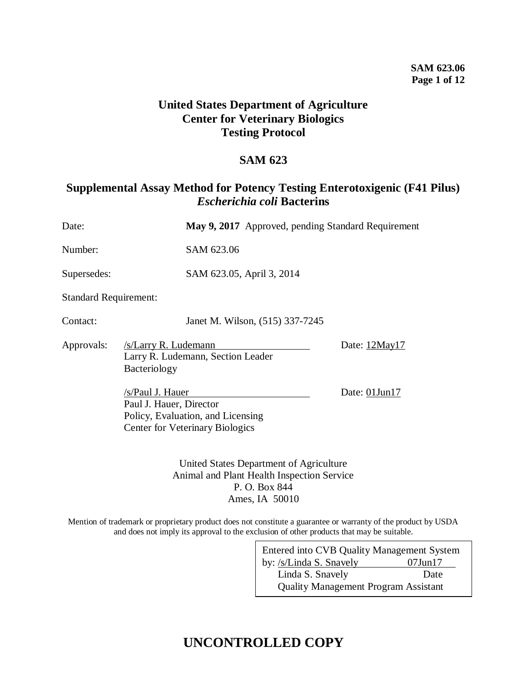### **United States Department of Agriculture Center for Veterinary Biologics Testing Protocol**

### **SAM 623**

### **Supplemental Assay Method for Potency Testing Enterotoxigenic (F41 Pilus)**  *Escherichia coli* **Bacterins**

| Date:                        |                                             |                                                                             | May 9, 2017 Approved, pending Standard Requirement                                    |               |
|------------------------------|---------------------------------------------|-----------------------------------------------------------------------------|---------------------------------------------------------------------------------------|---------------|
| Number:                      |                                             | SAM 623.06                                                                  |                                                                                       |               |
| Supersedes:                  |                                             |                                                                             | SAM 623.05, April 3, 2014                                                             |               |
| <b>Standard Requirement:</b> |                                             |                                                                             |                                                                                       |               |
| Contact:                     |                                             |                                                                             | Janet M. Wilson, (515) 337-7245                                                       |               |
| Approvals:                   | /s/Larry R. Ludemann<br>Bacteriology        | Larry R. Ludemann, Section Leader                                           |                                                                                       | Date: 12May17 |
|                              | /s/Paul J. Hauer<br>Paul J. Hauer, Director | Policy, Evaluation, and Licensing<br><b>Center for Veterinary Biologics</b> |                                                                                       | Date: 01Jun17 |
|                              |                                             |                                                                             | United States Department of Agriculture<br>Animal and Plant Health Inspection Service |               |

P. O. Box 844 Ames, IA 50010

Mention of trademark or proprietary product does not constitute a guarantee or warranty of the product by USDA and does not imply its approval to the exclusion of other products that may be suitable.

| Entered into CVB Quality Management System  |               |  |
|---------------------------------------------|---------------|--|
| by: /s/Linda S. Snavely                     | $07$ Jun $17$ |  |
| Linda S. Snavely                            | Date          |  |
| <b>Quality Management Program Assistant</b> |               |  |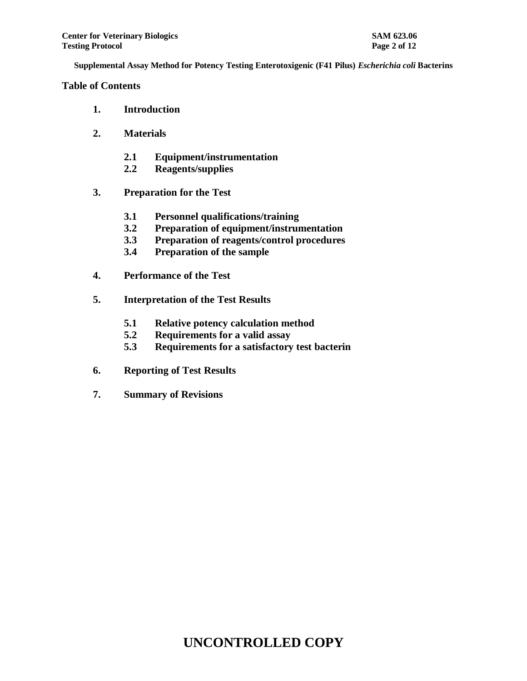**Table of Contents**

- **1. Introduction**
- **2. Materials**
	- **2.1 Equipment/instrumentation**
	- **2.2 Reagents/supplies**
- **3. Preparation for the Test**
	- **3.1 Personnel qualifications/training**
	- **3.2 Preparation of equipment/instrumentation**
	- **3.3 Preparation of reagents/control procedures**
	- **3.4 Preparation of the sample**
- **4. Performance of the Test**
- **5. Interpretation of the Test Results**
	- **5.1 Relative potency calculation method**
	- **5.2 Requirements for a valid assay**
	- **5.3 Requirements for a satisfactory test bacterin**
- **6. Reporting of Test Results**
- **7. Summary of Revisions**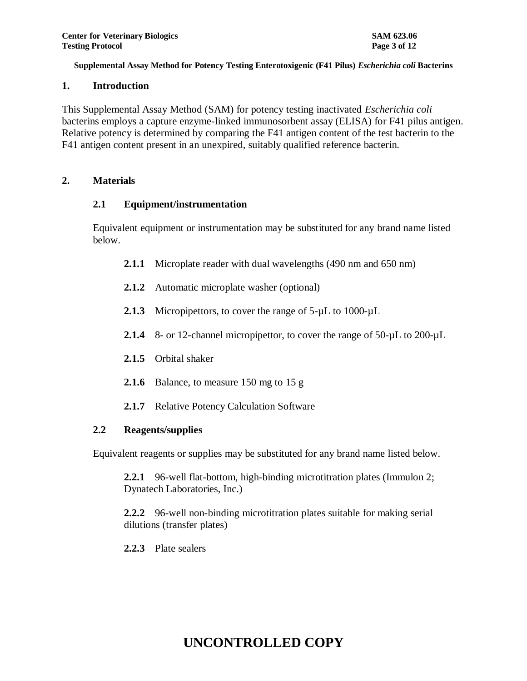### **1. Introduction**

This Supplemental Assay Method (SAM) for potency testing inactivated *Escherichia coli* bacterins employs a capture enzyme-linked immunosorbent assay (ELISA) for F41 pilus antigen. Relative potency is determined by comparing the F41 antigen content of the test bacterin to the F41 antigen content present in an unexpired, suitably qualified reference bacterin.

#### **2. Materials**

#### **2.1 Equipment/instrumentation**

Equivalent equipment or instrumentation may be substituted for any brand name listed below.

- **2.1.1** Microplate reader with dual wavelengths (490 nm and 650 nm)
- **2.1.2** Automatic microplate washer (optional)
- 2.1.3 Micropipettors, to cover the range of 5- $\mu$ L to 1000- $\mu$ L
- 2.1.4 8- or 12-channel micropipettor, to cover the range of 50- $\mu$ L to 200- $\mu$ L
- **2.1.5** Orbital shaker
- **2.1.6** Balance, to measure 150 mg to 15 g
- **2.1.7** Relative Potency Calculation Software

### **2.2 Reagents/supplies**

Equivalent reagents or supplies may be substituted for any brand name listed below.

**2.2.1** 96-well flat-bottom, high-binding microtitration plates (Immulon 2; Dynatech Laboratories, Inc.)

**2.2.2** 96-well non-binding microtitration plates suitable for making serial dilutions (transfer plates)

**2.2.3** Plate sealers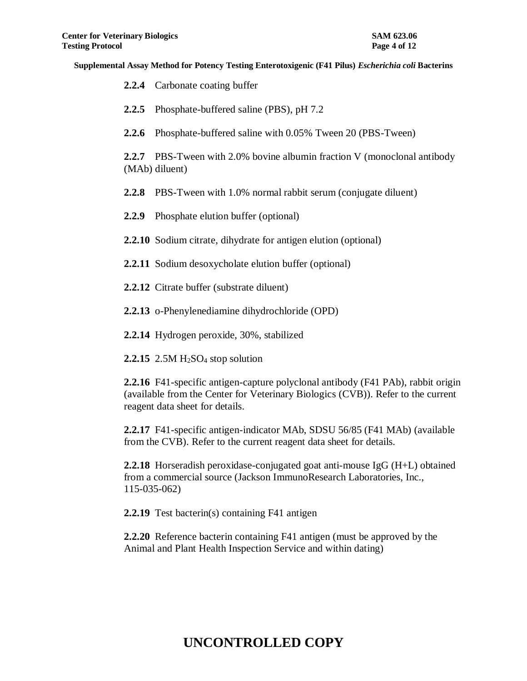|              | 2.2.4 Carbonate coating buffer                                                                                                                                                                          |
|--------------|---------------------------------------------------------------------------------------------------------------------------------------------------------------------------------------------------------|
| 2.2.5        | Phosphate-buffered saline (PBS), pH 7.2                                                                                                                                                                 |
| 2.2.6        | Phosphate-buffered saline with 0.05% Tween 20 (PBS-Tween)                                                                                                                                               |
| 2.2.7        | PBS-Tween with 2.0% bovine albumin fraction V (monoclonal antibody<br>(MAb) diluent)                                                                                                                    |
| 2.2.8        | PBS-Tween with 1.0% normal rabbit serum (conjugate diluent)                                                                                                                                             |
| 2.2.9        | Phosphate elution buffer (optional)                                                                                                                                                                     |
|              | 2.2.10 Sodium citrate, dihydrate for antigen elution (optional)                                                                                                                                         |
|              | 2.2.11 Sodium desoxycholate elution buffer (optional)                                                                                                                                                   |
|              | 2.2.12 Citrate buffer (substrate diluent)                                                                                                                                                               |
|              | 2.2.13 o-Phenylenediamine dihydrochloride (OPD)                                                                                                                                                         |
|              | 2.2.14 Hydrogen peroxide, 30%, stabilized                                                                                                                                                               |
|              | 2.2.15 2.5M $H2SO4$ stop solution                                                                                                                                                                       |
|              | 2.2.16 F41-specific antigen-capture polyclonal antibody (F41 PAb), rabbit origin<br>(available from the Center for Veterinary Biologics (CVB)). Refer to the current<br>reagent data sheet for details. |
|              | 2.2.17 F41-specific antigen-indicator MAb, SDSU 56/85 (F41 MAb) (available<br>from the CVB). Refer to the current reagent data sheet for details.                                                       |
| 115-035-062) | 2.2.18 Horseradish peroxidase-conjugated goat anti-mouse IgG (H+L) obtained<br>from a commercial source (Jackson ImmunoResearch Laboratories, Inc.,                                                     |
|              | 2.2.19 Test bacterin(s) containing F41 antigen                                                                                                                                                          |

**2.2.20** Reference bacterin containing F41 antigen (must be approved by the Animal and Plant Health Inspection Service and within dating)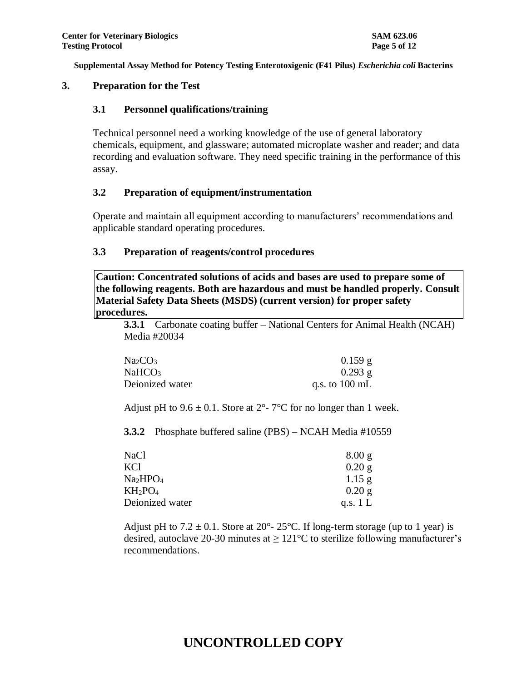### **3. Preparation for the Test**

#### **3.1 Personnel qualifications/training**

Technical personnel need a working knowledge of the use of general laboratory chemicals, equipment, and glassware; automated microplate washer and reader; and data recording and evaluation software. They need specific training in the performance of this assay.

#### **3.2 Preparation of equipment/instrumentation**

Operate and maintain all equipment according to manufacturers' recommendations and applicable standard operating procedures.

#### **3.3 Preparation of reagents/control procedures**

**Caution: Concentrated solutions of acids and bases are used to prepare some of the following reagents. Both are hazardous and must be handled properly. Consult Material Safety Data Sheets (MSDS) (current version) for proper safety procedures.**

**3.3.1** Carbonate coating buffer – National Centers for Animal Health (NCAH) Media #20034

| Na <sub>2</sub> CO <sub>3</sub> | $0.159$ g                |
|---------------------------------|--------------------------|
| NaHCO <sub>3</sub>              | $0.293$ g                |
| Deionized water                 | q.s. to $100 \text{ mL}$ |

Adjust pH to  $9.6 \pm 0.1$ . Store at  $2^{\circ}$ - 7°C for no longer than 1 week.

**3.3.2** Phosphate buffered saline (PBS) – NCAH Media #10559

| NaCl                             | 8.00 g     |
|----------------------------------|------------|
| KCl                              | 0.20 g     |
| Na <sub>2</sub> HPO <sub>4</sub> | $1.15$ g   |
| $KH_2PO_4$                       | 0.20 g     |
| Deionized water                  | q.s. $1 L$ |

Adjust pH to  $7.2 \pm 0.1$ . Store at  $20^{\circ}$ -  $25^{\circ}$ C. If long-term storage (up to 1 year) is desired, autoclave 20-30 minutes at  $\geq 121^{\circ}$ C to sterilize following manufacturer's recommendations.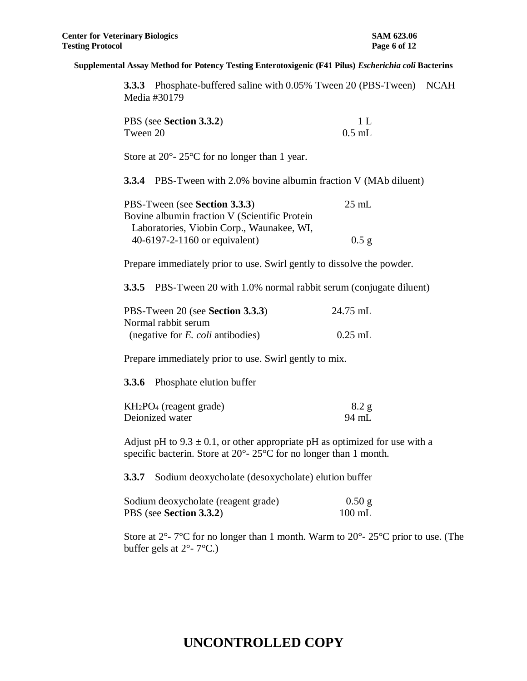**3.3.3** Phosphate-buffered saline with 0.05% Tween 20 (PBS-Tween) – NCAH Media #30179

| PBS (see Section 3.3.2) | 1 L      |
|-------------------------|----------|
| Tween 20                | $0.5$ mL |

Store at 20<sup>o</sup>- 25<sup>o</sup>C for no longer than 1 year.

**3.3.4** PBS-Tween with 2.0% bovine albumin fraction V (MAb diluent)

| PBS-Tween (see Section 3.3.3)                 | $25 \text{ mL}$ |
|-----------------------------------------------|-----------------|
| Bovine albumin fraction V (Scientific Protein |                 |
| Laboratories, Viobin Corp., Waunakee, WI,     |                 |
| 40-6197-2-1160 or equivalent)                 | $0.5$ g         |

Prepare immediately prior to use. Swirl gently to dissolve the powder.

**3.3.5** PBS-Tween 20 with 1.0% normal rabbit serum (conjugate diluent)

| PBS-Tween 20 (see Section 3.3.3)            | 24.75 mL  |
|---------------------------------------------|-----------|
| Normal rabbit serum                         |           |
| (negative for $E$ , <i>coli</i> antibodies) | $0.25$ mL |

Prepare immediately prior to use. Swirl gently to mix.

**3.3.6** Phosphate elution buffer

| $KH2PO4$ (reagent grade) | 8.2 g |
|--------------------------|-------|
| Deionized water          | 94 mL |

Adjust pH to  $9.3 \pm 0.1$ , or other appropriate pH as optimized for use with a specific bacterin. Store at 20°- 25°C for no longer than 1 month.

**3.3.7** Sodium deoxycholate (desoxycholate) elution buffer

| Sodium deoxycholate (reagent grade) | $0.50$ g         |
|-------------------------------------|------------------|
| PBS (see Section 3.3.2)             | $100 \text{ mL}$ |

Store at  $2^{\circ}$ - 7°C for no longer than 1 month. Warm to  $20^{\circ}$ -  $25^{\circ}$ C prior to use. (The buffer gels at  $2^{\circ}$ - 7°C.)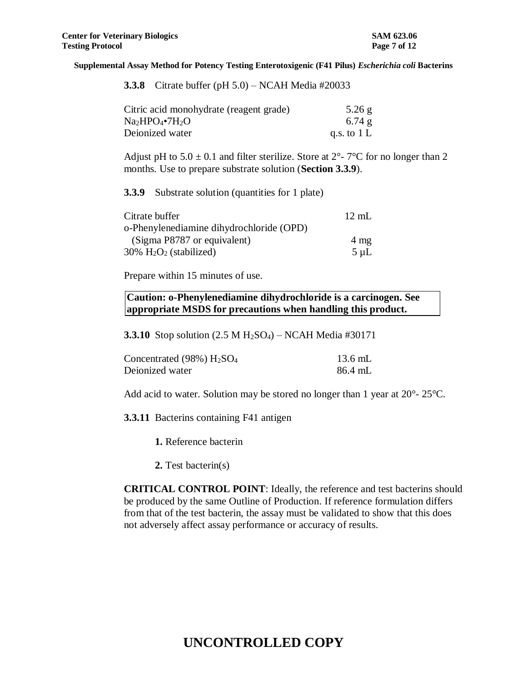| <b>3.3.8</b> Citrate buffer (pH $5.0$ ) – NCAH Media #20033 |  |  |
|-------------------------------------------------------------|--|--|
|-------------------------------------------------------------|--|--|

| Citric acid monohydrate (reagent grade) | $5.26$ g      |
|-----------------------------------------|---------------|
| $Na2HPO4•7H2O$                          | 6.74g         |
| Deionized water                         | q.s. to $1 L$ |

Adjust pH to  $5.0 \pm 0.1$  and filter sterilize. Store at  $2^{\circ}$ -  $7^{\circ}$ C for no longer than 2 months. Use to prepare substrate solution (**Section 3.3.9**).

**3.3.9** Substrate solution (quantities for 1 plate)

| $12 \text{ mL}$ |
|-----------------|
|                 |
| $4 \text{ mg}$  |
| $5 \mu L$       |
|                 |

Prepare within 15 minutes of use.

**Caution: o-Phenylenediamine dihydrochloride is a carcinogen. See appropriate MSDS for precautions when handling this product.**

**3.3.10** Stop solution (2.5 M H<sub>2</sub>SO<sub>4</sub>) – NCAH Media #30171

| Concentrated $(98\%)$ $H2SO4$ | 13.6 mL |
|-------------------------------|---------|
| Deionized water               | 86.4 mL |

Add acid to water. Solution may be stored no longer than 1 year at 20°- 25°C.

**3.3.11** Bacterins containing F41 antigen

**1.** Reference bacterin

**2.** Test bacterin(s)

**CRITICAL CONTROL POINT**: Ideally, the reference and test bacterins should be produced by the same Outline of Production. If reference formulation differs from that of the test bacterin, the assay must be validated to show that this does not adversely affect assay performance or accuracy of results.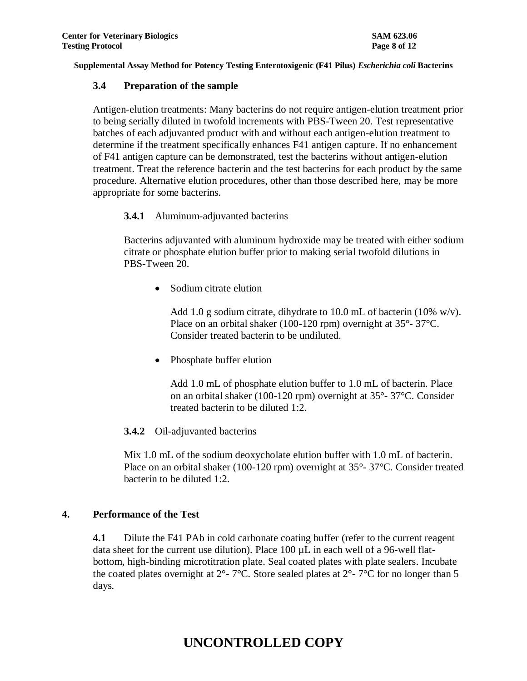#### **3.4 Preparation of the sample**

Antigen-elution treatments: Many bacterins do not require antigen-elution treatment prior to being serially diluted in twofold increments with PBS-Tween 20. Test representative batches of each adjuvanted product with and without each antigen-elution treatment to determine if the treatment specifically enhances F41 antigen capture. If no enhancement of F41 antigen capture can be demonstrated, test the bacterins without antigen-elution treatment. Treat the reference bacterin and the test bacterins for each product by the same procedure. Alternative elution procedures, other than those described here, may be more appropriate for some bacterins.

#### **3.4.1** Aluminum-adjuvanted bacterins

Bacterins adjuvanted with aluminum hydroxide may be treated with either sodium citrate or phosphate elution buffer prior to making serial twofold dilutions in PBS-Tween 20.

• Sodium citrate elution

Add 1.0 g sodium citrate, dihydrate to 10.0 mL of bacterin (10% w/v). Place on an orbital shaker (100-120 rpm) overnight at 35°- 37°C. Consider treated bacterin to be undiluted.

• Phosphate buffer elution

Add 1.0 mL of phosphate elution buffer to 1.0 mL of bacterin. Place on an orbital shaker (100-120 rpm) overnight at 35°- 37°C. Consider treated bacterin to be diluted 1:2.

### **3.4.2** Oil-adjuvanted bacterins

Mix 1.0 mL of the sodium deoxycholate elution buffer with 1.0 mL of bacterin. Place on an orbital shaker (100-120 rpm) overnight at 35°- 37°C. Consider treated bacterin to be diluted 1:2.

#### **4. Performance of the Test**

**4.1** Dilute the F41 PAb in cold carbonate coating buffer (refer to the current reagent data sheet for the current use dilution). Place  $100 \mu L$  in each well of a 96-well flatbottom, high-binding microtitration plate. Seal coated plates with plate sealers. Incubate the coated plates overnight at  $2^{\circ}$ - 7°C. Store sealed plates at  $2^{\circ}$ - 7°C for no longer than 5 days*.*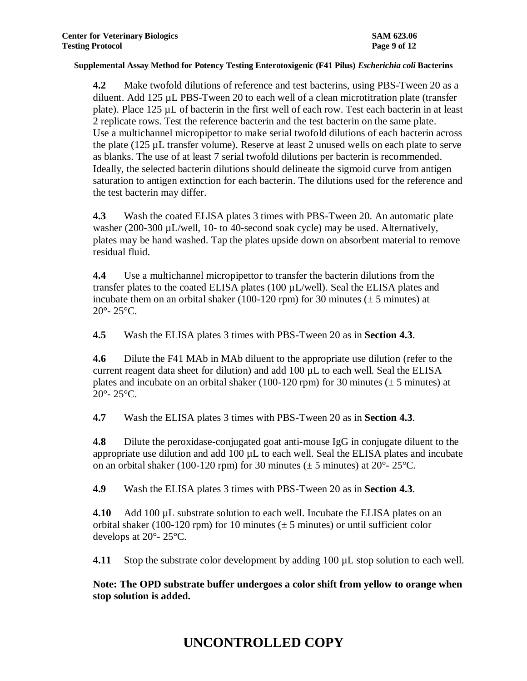**4.2** Make twofold dilutions of reference and test bacterins, using PBS-Tween 20 as a diluent. Add 125 µL PBS-Tween 20 to each well of a clean microtitration plate (transfer plate). Place 125 µL of bacterin in the first well of each row. Test each bacterin in at least 2 replicate rows. Test the reference bacterin and the test bacterin on the same plate. Use a multichannel micropipettor to make serial twofold dilutions of each bacterin across the plate (125 µL transfer volume). Reserve at least 2 unused wells on each plate to serve as blanks. The use of at least 7 serial twofold dilutions per bacterin is recommended. Ideally, the selected bacterin dilutions should delineate the sigmoid curve from antigen saturation to antigen extinction for each bacterin. The dilutions used for the reference and the test bacterin may differ.

**4.3** Wash the coated ELISA plates 3 times with PBS-Tween 20. An automatic plate washer (200-300 µL/well, 10- to 40-second soak cycle) may be used. Alternatively, plates may be hand washed. Tap the plates upside down on absorbent material to remove residual fluid.

**4.4** Use a multichannel micropipettor to transfer the bacterin dilutions from the transfer plates to the coated ELISA plates (100 µL/well). Seal the ELISA plates and incubate them on an orbital shaker (100-120 rpm) for 30 minutes ( $\pm$  5 minutes) at  $20^{\circ}$ -  $25^{\circ}$ C.

**4.5** Wash the ELISA plates 3 times with PBS-Tween 20 as in **Section 4.3**.

**4.6** Dilute the F41 MAb in MAb diluent to the appropriate use dilution (refer to the current reagent data sheet for dilution) and add 100 µL to each well. Seal the ELISA plates and incubate on an orbital shaker (100-120 rpm) for 30 minutes ( $\pm$  5 minutes) at  $20^{\circ}$ -  $25^{\circ}$ C.

**4.7** Wash the ELISA plates 3 times with PBS-Tween 20 as in **Section 4.3**.

**4.8** Dilute the peroxidase-conjugated goat anti-mouse IgG in conjugate diluent to the appropriate use dilution and add 100 µL to each well. Seal the ELISA plates and incubate on an orbital shaker (100-120 rpm) for 30 minutes ( $\pm$  5 minutes) at 20°-25°C.

**4.9** Wash the ELISA plates 3 times with PBS-Tween 20 as in **Section 4.3**.

**4.10** Add 100 µL substrate solution to each well. Incubate the ELISA plates on an orbital shaker (100-120 rpm) for 10 minutes ( $\pm$  5 minutes) or until sufficient color develops at 20°- 25°C.

**4.11** Stop the substrate color development by adding 100 µL stop solution to each well.

**Note: The OPD substrate buffer undergoes a color shift from yellow to orange when stop solution is added.**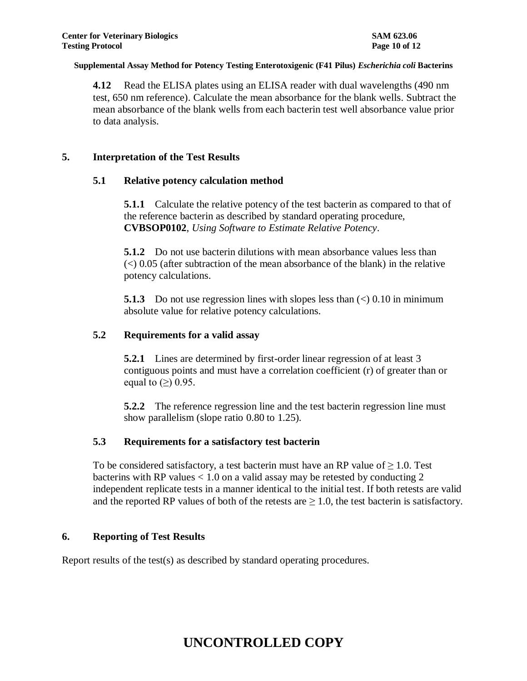**4.12** Read the ELISA plates using an ELISA reader with dual wavelengths (490 nm test, 650 nm reference). Calculate the mean absorbance for the blank wells. Subtract the mean absorbance of the blank wells from each bacterin test well absorbance value prior to data analysis.

### **5. Interpretation of the Test Results**

#### **5.1 Relative potency calculation method**

**5.1.1** Calculate the relative potency of the test bacterin as compared to that of the reference bacterin as described by standard operating procedure, **CVBSOP0102**, *Using Software to Estimate Relative Potency*.

**5.1.2** Do not use bacterin dilutions with mean absorbance values less than  $\ll$  0.05 (after subtraction of the mean absorbance of the blank) in the relative potency calculations.

**5.1.3** Do not use regression lines with slopes less than  $\langle \rangle$  0.10 in minimum absolute value for relative potency calculations.

#### **5.2 Requirements for a valid assay**

**5.2.1** Lines are determined by first-order linear regression of at least 3 contiguous points and must have a correlation coefficient (r) of greater than or equal to  $(\ge)$  0.95.

**5.2.2** The reference regression line and the test bacterin regression line must show parallelism (slope ratio 0.80 to 1.25).

### **5.3 Requirements for a satisfactory test bacterin**

To be considered satisfactory, a test bacterin must have an RP value of  $\geq 1.0$ . Test bacterins with RP values  $< 1.0$  on a valid assay may be retested by conducting 2 independent replicate tests in a manner identical to the initial test. If both retests are valid and the reported RP values of both of the retests are  $\geq 1.0$ , the test bacterin is satisfactory.

### **6. Reporting of Test Results**

Report results of the test(s) as described by standard operating procedures.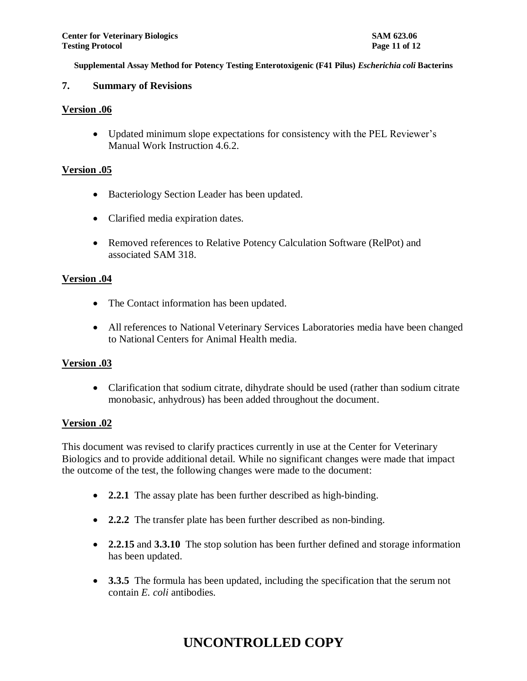### **7. Summary of Revisions**

#### **Version .06**

 Updated minimum slope expectations for consistency with the PEL Reviewer's Manual Work Instruction 4.6.2.

### **Version .05**

- Bacteriology Section Leader has been updated.
- Clarified media expiration dates.
- Removed references to Relative Potency Calculation Software (RelPot) and associated SAM 318.

#### **Version .04**

- The Contact information has been updated.
- All references to National Veterinary Services Laboratories media have been changed to National Centers for Animal Health media.

#### **Version .03**

• Clarification that sodium citrate, dihydrate should be used (rather than sodium citrate monobasic, anhydrous) has been added throughout the document.

### **Version .02**

This document was revised to clarify practices currently in use at the Center for Veterinary Biologics and to provide additional detail. While no significant changes were made that impact the outcome of the test, the following changes were made to the document:

- **2.2.1** The assay plate has been further described as high-binding.
- **2.2.2** The transfer plate has been further described as non-binding.
- **2.2.15** and **3.3.10** The stop solution has been further defined and storage information has been updated.
- **3.3.5** The formula has been updated, including the specification that the serum not contain *E. coli* antibodies.